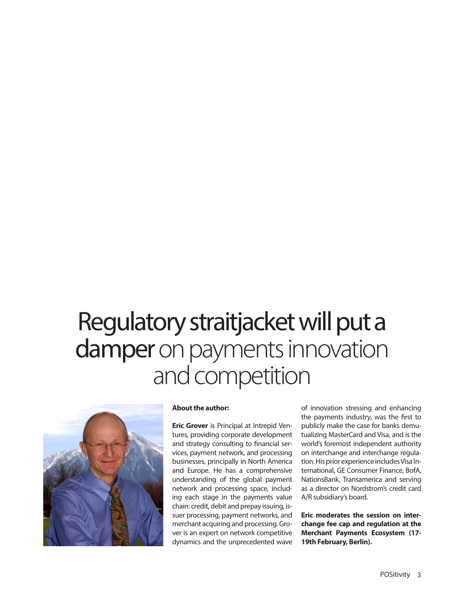## Regulatory straitjacket will put a damper on payments innovation and competition



## **About the author:**

**Eric Grover** is Principal at Intrepid Ventures, providing corporate development and strategy consulting to financial services, payment network, and processing businesses, principally in North America and Europe. He has a comprehensive understanding of the global payment network and processing space, including each stage in the payments value chain: credit, debit and prepay issuing, issuer processing, payment networks, and merchant acquiring and processing. Grover is an expert on network competitive dynamics and the unprecedented wave of innovation stressing and enhancing the payments industry, was the first to publicly make the case for banks demutualizing MasterCard and Visa, and is the world's foremost independent authority on interchange and interchange regulation. His prior experience includes Visa International, GE Consumer Finance, BofA, NationsBank, Transamerica and serving as a director on Nordstrom's credit card A/R subsidiary's board.

**Eric moderates the session on interchange fee cap and regulation at the Merchant Payments Ecosystem (17- 19th February, Berlin).**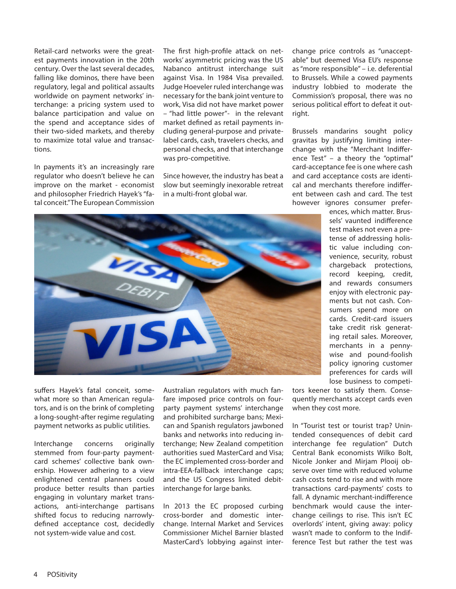Retail-card networks were the greatest payments innovation in the 20th century. Over the last several decades, falling like dominos, there have been regulatory, legal and political assaults worldwide on payment networks' interchange: a pricing system used to balance participation and value on the spend and acceptance sides of their two-sided markets, and thereby to maximize total value and transactions.

In payments it's an increasingly rare regulator who doesn't believe he can improve on the market - economist and philosopher Friedrich Hayek's "fatal conceit." The European Commission

The first high-profile attack on networks' asymmetric pricing was the US Nabanco antitrust interchange suit against Visa. In 1984 Visa prevailed. Judge Hoeveler ruled interchange was necessary for the bank joint venture to work, Visa did not have market power – "had little power"- in the relevant market defined as retail payments including general-purpose and privatelabel cards, cash, travelers checks, and personal checks, and that interchange was pro-competitive.

Since however, the industry has beat a slow but seemingly inexorable retreat in a multi-front global war.

change price controls as "unacceptable" but deemed Visa EU's response as "more responsible" – i.e. deferential to Brussels. While a cowed payments industry lobbied to moderate the Commission's proposal, there was no serious political effort to defeat it outright.

Brussels mandarins sought policy gravitas by justifying limiting interchange with the "Merchant Indifference Test" – a theory the "optimal" card-acceptance fee is one where cash and card acceptance costs are identical and merchants therefore indifferent between cash and card. The test however ignores consumer prefer-



ences, which matter. Brussels' vaunted indifference test makes not even a pretense of addressing holistic value including convenience, security, robust chargeback protections, record keeping, credit, and rewards consumers enjoy with electronic payments but not cash. Consumers spend more on cards. Credit-card issuers take credit risk generating retail sales. Moreover, merchants in a pennywise and pound-foolish policy ignoring customer preferences for cards will lose business to competi-

suffers Hayek's fatal conceit, somewhat more so than American regulators, and is on the brink of completing a long-sought-after regime regulating payment networks as public utilities.

Interchange concerns originally stemmed from four-party paymentcard schemes' collective bank ownership. However adhering to a view enlightened central planners could produce better results than parties engaging in voluntary market transactions, anti-interchange partisans shifted focus to reducing narrowlydefined acceptance cost, decidedly not system-wide value and cost.

Australian regulators with much fanfare imposed price controls on fourparty payment systems' interchange and prohibited surcharge bans; Mexican and Spanish regulators jawboned banks and networks into reducing interchange; New Zealand competition authorities sued MasterCard and Visa; the EC implemented cross-border and intra-EEA-fallback interchange caps; and the US Congress limited debitinterchange for large banks.

In 2013 the EC proposed curbing cross-border and domestic interchange. Internal Market and Services Commissioner Michel Barnier blasted MasterCard's lobbying against inter-

tors keener to satisfy them. Consequently merchants accept cards even when they cost more.

In "Tourist test or tourist trap? Unintended consequences of debit card interchange fee regulation" Dutch Central Bank economists Wilko Bolt, Nicole Jonker and Mirjam Plooij observe over time with reduced volume cash costs tend to rise and with more transactions card-payments' costs to fall. A dynamic merchant-indifference benchmark would cause the interchange ceilings to rise. This isn't EC overlords' intent, giving away: policy wasn't made to conform to the Indifference Test but rather the test was